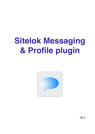# **Sitelok Messaging & Profile plugin**



V2.4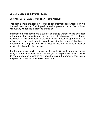#### **Sitelok Messaging & Profile Plugin**

Copyright 2012 - 2022 Vibralogix. All rights reserved.

This document is provided by Vibralogix for informational purposes only to licensed users of the Sitelok product and is provided on an 'as is' basis without any warranties expressed or implied.

Information in this document is subject to change without notice and does not represent a commitment on the part of Vibralogix. The software described in this document is provided under a license agreement. The software may be used only in accordance with the terms of that license agreement. It is against the law to copy or use the software except as specifically allowed in the license.

It is the users responsibility to ensure the suitability of this product before using it. In no circumstances will Vibralogix be responsible for any loss or damage of data or programs as a result of using the product. Your use of the product implies acceptance of these terms.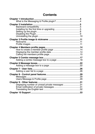# **Contents**

| Displaying number of unread private messages 31 |  |
|-------------------------------------------------|--|
|                                                 |  |
|                                                 |  |
|                                                 |  |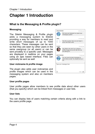# <span id="page-3-0"></span>**Chapter 1 Introduction**

# <span id="page-3-1"></span>**What is the Messaging & Profile plugin?**

#### **Messaging**

The Sitelok Messaging & Profile plugin adds a messaging system to Sitelok providing a way for members to read and write short messages of up to 1000 characters. These messages can be sent so that they are seen by other users in the same usergroup (or all users) or can be sent privately to a specific user. Messages are displayed in realtime on your pages using an ajax based interface. Files can optionally be sent as well.

#### **User nickname & profile image**

The plugin also adds user nicknames and profile images which can be used in the messaging system and also on members pages.

#### **User profile pages**

User profile pages allow members to see profile data about other users (that you specify) which can be linked from messages or user lists.

#### **User lists**

You can display lists of users matching certain criteria along with a link to the users profile page.

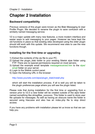# <span id="page-4-0"></span>**Chapter 2 Installation**

# <span id="page-4-1"></span>**Backward compatibility**

Previous versions of this plugin were known as the Blab Messaging & User Profile Plugin. We decided to rename the plugin to save confusion with a similarly named messaging service.

V2 is a major update with many new features, a more modern interface and easier ways to add messaging to your pages. However we have kept the old functions in place so that existing sites developed using the older plugin should still work with this update. We recommend new sites to use the new functions though.

### <span id="page-4-2"></span>**Installing for the first time or upgrading**

- 1) Extract the contents of the zip file to your PC.
- 2) Upload the plugin\_blab folder to your existing Sitelok slpw folder using FTP. There are no special permissions required on most servers.
- 3) Upload the example email template messagereceived.htm to the slpw/ email folder on your server
- 4) Login to the Sitelok control panel.
- 5) Open the following URL in the browser

http://www.yoursite.com/slpw/plugin\_blab/install.php

which will start the installation process. If all is well you will be taken to the plugin preferences page where you will see the plugin listed.

Please note that during installation for the first time or upgrading from a version prior to V2.0 a new folder will be created outside of the slpw folder named something like slmsgfiles\_xxxxxxxx. This folder is used to store user file uploads for messages. As well as having an obscure name the folder is secured using htaccess and also has an index.php file to stop direct access.

If you have any problems with installation please let us know so that we can help you.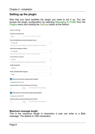# <span id="page-5-0"></span>**Setting up the plugin**

Now that you have installed the plugin you need to set it up. You can access the plugin configuration by selecting Messaging & Profile from the Plugins menu and clicking the Settings button at the bottom.

| General settings                  |                                                                                        |  |  |  |
|-----------------------------------|----------------------------------------------------------------------------------------|--|--|--|
| Maximum message length            |                                                                                        |  |  |  |
| 1000                              | Maximum length of messages in characters                                               |  |  |  |
|                                   | Show the following non private messages to users                                       |  |  |  |
| All messages                      |                                                                                        |  |  |  |
|                                   | This setting controls what messages the user sees when displaying 'normal' messages    |  |  |  |
| Show these messages to visitors   |                                                                                        |  |  |  |
| All messages                      |                                                                                        |  |  |  |
|                                   | This setting controls what messages non members see (on public pages)                  |  |  |  |
| Use this field as nickname        |                                                                                        |  |  |  |
| Custom1                           |                                                                                        |  |  |  |
|                                   | If usernames are email addresses it is a good idea to use a custom field as a nickname |  |  |  |
| Profile image field               |                                                                                        |  |  |  |
| Custom <sub>2</sub>               |                                                                                        |  |  |  |
| Resize uploaded profile images to |                                                                                        |  |  |  |
|                                   |                                                                                        |  |  |  |
| 150px                             |                                                                                        |  |  |  |
|                                   |                                                                                        |  |  |  |
|                                   | Notify users of private message (select template)                                      |  |  |  |
| messagereceived.htm               |                                                                                        |  |  |  |
|                                   | Further emails sent only if chat dormant for at least                                  |  |  |  |
| 0                                 | Enter 0 to send email for every message<br>Mins                                        |  |  |  |
|                                   | Notify admin users of private message (select template)                                |  |  |  |
| messagereceived.htm               |                                                                                        |  |  |  |
|                                   | Further emails sent only if chat dormant for at least                                  |  |  |  |

#### **Maximum message length**

This is the maximum length in characters a user can enter in a Blab message. The default is 1000 characters.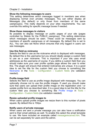#### **Show the following messages to users**

This setting determines which messages logged in members see when displaying normal (non private) messages. You can either display all Messages (the default) or only those from members of the same usergroup(s). This really depends on your sites requirements. You can override this setting for specific message boxes if needed.

#### **Show these messages to visitors**

Its possible to display message on public pages of your site (pages controlled by Sitelok for the PUBLIC usergroup). This setting determines which messages should be seen. These could be messages sent by members of specific usergroups or all messages. By default this is set to ALL. You can also set None which ensures that only logged in users can see messages.

#### **Use this field as nickname**

Selects the field to use as the nickname which is displayed with messages. By default this is the username but you should ideally assign a custom field to use as a user nickname. This is important if your site uses email addresses as the username of course. If you define a custom field then you should make sure your user profile update page allows the user to enter this. The plugin will ensure that entered nicknames are unique. It is a good idea to set the title for the custom field you choose to something like Nickname in the Tools - Configuration - Custom fields (no validation needed).

#### **Profile image field**

Selects the field to use as profile image displayed with messages. You can optionally choose not to use the profile images. If used you should make sure that users can upload their profile image on the registration and / or update profile form as described later. It is a good idea to set the title for the custom field you choose to something like Profile Image in Tools - Configuration - Custom fields (no validation needed).

#### **Resize uploaded profile images to**

When users upload profile images we resize them to this number of pixels square. By default this is 150px.

#### **Notify users of private message**

When users are sent a private message you can also have a notification sent to their email address as well. To enable this select the email template to use. We have included an example called messagereceived.htm. This can be set separately for users and the admin.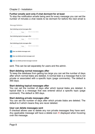#### **Further emails sent only if chat dormant for at least**

To stop the notification emails being sent for every message you can set the number of minutes a chat needs to be dormant for before the next email is

| Message Deletion                                                       |      |                         |
|------------------------------------------------------------------------|------|-------------------------|
| Start deleting normal messages after                                   |      |                         |
| $\Omega$                                                               | Days | Enter 0 to never delete |
| Start deleting topical messages after                                  |      |                         |
| $\Omega$                                                               | Days | Enter 0 to never delete |
| Start deleting private messages after                                  |      |                         |
| $\Omega$                                                               | Days | Enter 0 to never delete |
| User can delete messages sent<br>User can delete private messages sent |      |                         |
| User can delete private messages received                              |      |                         |

sent. This can be set separately for users and the admin.

#### **Start deleting normal messages after**

To keep the database from getting too large you can set the number of days after which normal blabs are deleted. A normal blab is a message that is not private or associated with a specific topic (page comments). The default is 365 days.

#### **Start deleting topical messages after**

You can set the number of days after which topical blabs are deleted. A topical blab is a message that was entered about a specific topic (page comment). The default is 365 days.

#### **Start deleting private messages after**

You can set the number of days after which private blabs are deleted. The default is 0 which means they are never deleted.

#### **User can delete messages sent**

If checked allows user to delete any non private messages they have sent. Any applicable message will have a delete icon  $\times$  displayed when hovering over the message.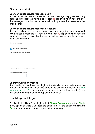#### **User can delete private messages sent**

If checked allows user to delete any private message they gave sent. Any applicable message will have a delete icon  $\times$  displayed when hovering over the message. Note that the recipient will no longer see this message either once deleted.

#### **User can delete private messages received**

If checked allows user to delete any private message they gave received. Any applicable message will have a delete icon  $\times$  displayed when hovering over the message. Note that the sender will no longer see this message either once deleted.

**Content Control** 

 $\vee$  Ban words or phrases?

List of banned words or phrases

| 4 |
|---|

#### **Replace banned words with**

**Address** 

#### **Banning words or phrases**

If you wish you can have the plugin automatically replace certain words or phrases in messages. To do this enable the system by clicking the Ban words or phrases? checkbox and enter them as a list (one per line). You can enter the string to use as a replacement as well.

# <span id="page-8-0"></span>**Disabling the Plugin**

To disable the User files plugin select **Plugin Preferences** in the **Plugin** menu option of Sitelok. Uncheck the enable box for the plugin and click the **Save** button. You can enable it again in the same way.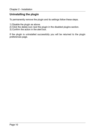# <span id="page-9-0"></span>**Uninstalling the plugin**

To permanently remove the plugin and its settings follow these steps.

- 1) Disable the plugin as above.
- 2) Click the delete icon next the plugin in the disabled plugins section.
- 3) Confirm the action in the alert box.

If the plugin is uninstalled successfully you will be returned to the plugin preferences page.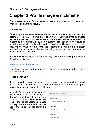# <span id="page-10-0"></span>**Chapter 3 Profile image & nickname**

The Messaging and Profile plugin allows users to set a nickname and image profile on their account.

### <span id="page-10-1"></span>**Nickname**

Depending on the plugin settings the nickname can be either the members username or a value entered in a custom field. If you use email addresses as usernames then it is best to use a user chosen nickname entered in a custom field for privacy. If you use a custom field then this field should be added to registration registration and / or modify profile forms used on your site. When included on a form the custom field will be automatically required and will also be checked as being unique (no two members can share the same nickname).

You can display a users nickname on any secured page using the variable \$slnickname like this

<?php echo \$slnickname; ?>

The above snippet can be found in the plugins Snippets page in the Display profile data tab.

### <span id="page-10-2"></span>**Profile images**

If you enable the use of member profile images in the plugin settings we will use a custom field to store it. The user can then upload an image using the registration form or an update profile form.

In Sitelok's form designers you can allow users to upload an image to the custom field by setting the Input Type as Upload. The plugin will resize and adjust uploaded images to keep them square and the size set in the plugin settings (default is 150px).

| - Selected field properties             |  |
|-----------------------------------------|--|
| Sitelok field                           |  |
| Custom2 (custom 2) $\blacktriangledown$ |  |
| Input type                              |  |
| File upload                             |  |
| Label text                              |  |
| Profile Image                           |  |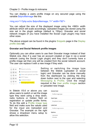You can display a users profile image on any secured page using the variable \$slprofileimage like this

<img src="<?php echo \$slprofileimage; ?>" width="60">

You can adjust the size of the displayed image using the <IMG> width attribute which will scale accordingly. Uploaded images are stored using the size set in the plugin settings (default is 150px). Gravatar and social network images (if you have installed the Social Login plugin) may have other sizes.

The above snippet can be found in the plugins Snippets page in the Display profile data tab.

#### **Gravatar and Social Network profile images**

Optionally you can allow users to use their Gravatar image instead of their Sitelok one. Also if a user has an account created or logs in via a social network (using the Social Login plugin) and they don't currently have a profile image set then one will be created from the social network account. The user can replace it with a new image if they wish.



Setting or switching the image type between the Sitelok (uploaded or social login) and Gravatar can be done manually from the dashboard by clicking the drop down button next to the user and selecting Messaging & Profile. Click the image required in the User profile images section or uploaded new image.

Sitelok field

In Sitelok V5.6 or above you can allow users to switch or set the image type they want using a drop down, radio buttons or hidden field on registration or update profile forms. To do this add a Profile image type field and make sure the values used for the input are Uploaded and Gravatar. The example on the right shows a dropdown menu setup to allow this selection.

| Profile image type   |  |
|----------------------|--|
| Input type           |  |
| Dropdown menu        |  |
| Label text           |  |
| Profile image source |  |
| <b>Options</b>       |  |
| Uploaded             |  |
| Gravatar             |  |
|                      |  |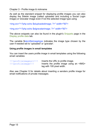As well as the standard snippet for displaying profile images you can also display the Sitelok image (called uploaded and including a Social Login image) or Gravatar image even if not the selected image type using

<img src="<?php echo \$sluploadedimage; ?>" width="60">

<img src="<?php echo \$slgravatarimage; ?>" width="60">

The above snippets can also be found in the plugin's Snippets page in the Display profile data tab.

The variable \$slprofileimagetype indicates the image type chosen by the user if needed set to 'uploaded' or 'gravatar'.

#### **Using profile images in email templates**

You can insert the users profile image in email templates using the following email variables

| !!!profileimageurl!!! | Inserts the URL to profile image.         |
|-----------------------|-------------------------------------------|
| $!!!$ profileimage!!! | Inserts the profile image using an <img/> |
|                       | tag with 100 pixel width.                 |

Also see Chapter 9 for details about inserting a senders profile image for email notifications of private messages.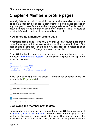# <span id="page-13-0"></span>**Chapter 4 Members profile pages**

Normally Sitelok can only display information, such as email or custom data fields, on a page for the logged in user. Members profile pages can display any data you choose for the member the page relates to. This is useful to allow members to see information about other members. This is secure so only the information that should be shared is accessible.

### <span id="page-13-1"></span>**How to create a member profile page**

A members profile page is basically a normal Sitelok secured page that is called from a special link that contains the user id and a security hash of the user to display data for. For example you can click on a message to be taken to the senders profile page or a user in a user list.

To tell Sitelok that the page is a members profile page you just need to add the setting \$memberprofilepage=1; to the Sitelok snippet at the top of the page. For example

```
<?php 
$groupswithaccess="ALL"; 
$memberprofilepage=1; 
require once("../slpw/sitelokpw.php");
?>
```
If you use Sitelok V5.6 then the Snippet Generator has an option to add this for you in the Page setup tab.

All inggen in noeis Allow visitor access to the page (PUBLIC) Allow expired user access to the page Members profile page (Messaging & Profile plugin)

# <span id="page-13-2"></span>**Displaying the member profile data**

On a members profile page you can use the normal Sitelok variables such as \$slname, \$slcustom1 or \$slemail which will continue to display the data related to the logged in user viewing the page. However as long as the page was called via the special link you can also display data about the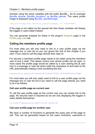member using the same variables with the prefix \$profile\_. So for example \$profile\_slname, \$profile\_slcustom1 or \$profile\_slemail. The users profile image is displayed using \$profile\_slprofileimage.

<img src="<?php echo \$profile\_slprofileimage; ?>" width="60">

If the page is not called via the special link then these variables will display the logged in users detail instead.

You can generate snippets for these in the plugin's Snippets page in the Profile page data tab.

### <span id="page-14-0"></span>**Calling the members profile page**

For most sites you will only need to link to a user profile page via the message box or user list so you can ignore the rest of this chapter if you wish. If you need to call the page directly then read on.

For security a members profile page needs to be called using the members user id and a hash. This allows control over whose profile can be seen. In most cases the profile page would be called by a user clicking the user icon in a message or user list which adds the necessary id and hash to the URL automatically making it look something like this.

userprofile.php?uid=1&hash=d714cb0d75f2e174c6f48692fca78dbf

For most sites you will only really need to link to a user profile page via the message box or user list but if you need to call the page directly you need to do it as follows.

#### **Call user profile page as current user**

To call the user profile page as the current user you can simply link to the page. No security hash is required as we are only displaying the logged in users details themselves.

<a href="userprofile.php">Click here</a>

#### **Call user profile page for another user**

We have a number of functions to generate the query part of the page to call. This can be generated based on the users nickname, username or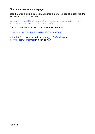Chapter 4 - Members profile pages

userid. So for example to create a link for the profile page of a user with the nickname robin you can use

<a href="userprofile.php<?php sl\_profilefromnickname("robin"); ?>"> Click to see the profile for robin123</a>

The call basically adds the correct query part such as

?uid=1&hash=d714cb0d75f2e174c6f48692fca78dbf

to the link. You can use the functions sl\_profilefromid() and sl\_profilefromusername() in a similar way.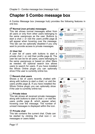# <span id="page-16-0"></span>**Chapter 5 Combo message box**

A Combo Message box (message hub) provides the following features in one box.

#### **Normal (non private) messages**

This tab shows normal messages either from all users or only from other users belonging to the same usergroups as the user. Buttons to start a chat  $\circ$  or visit the users profile page will appear when hovering over the message. This tab can be optionally disabled if you only want to provide access to private messages.

#### **<sup>2</sup>** User list

A user list of users with buttons to start a private chat  $\odot$  or visit their profile page . The user list can be for all users, users belonging to the same usergroups or based on other filters as needed. An optional search box allows users to search for users. If you have installed the Whois Online plugin you can optionally show if the user is currently online too.

#### **Recent chat users**

Shows a list of users recently chatted with along with buttons to start a chat or visit the users profile page . If you have installed the Whois Online plugin you can optionally show if the user is currently online too.

#### **Private inbox**

This tab shows all received private messages along with buttons to start a chat  $\circ$  or visit the users profile page  $\blacksquare$  which appear when hovering over the message. The number of unread messages is displayed within the icon.

#### **Private chat**

This tab contains the current chat. Chats can be started by clicking the chat icon  $\circ$  on messages or users listed.



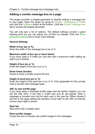### <span id="page-17-0"></span>**Adding a combo message box to a page**

The plugin provides a snippet generator to simplify adding a message box to your page. Open the plugin by going to Plugins - Messaging & Profile and click the Snippets button at the bottom. Click the Combo message box tab to access the snippet generator.

You will now see a list of options. The default settings provide a good starting point but you can adjust any of them as needed. Click the Show advanced settings link to show more settings.

#### **General Settings**

#### **Width of box (px or %)**

Enter the width of the message box in px or %.

#### **Maximum width of box (px or leave blank)**

If you have used a % width you can also add a maximum width setting as well in px if needed.

#### **Height of box (px or %)**

Enter the height of the box in px or %.

#### **Show frame (border)**

Check to show a border around the box.

#### **Height of send box (px or %)**

Enter the height of the send box in px or %. Only applicable for Non private chat or private chat message types.

#### **URL to user profile page**

If you have setup a members profile page (see the earlier chapter) you can set the URL here. If set then a small user icon will appear when a message is hovered over and for each user in the user list. When clicked it will link to the page adding the senders id and hash to the URL so that the correct users data is shown.

#### **Start tab**

Sets which tab is initially open.

#### **Show profile images**

Check this box to include user profile images in the messages.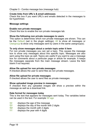#### **Create links from URL's & email addresses**

Check this box if you want URL's and emails detected in the messages to be hyperlinked.

#### **Message settings**

#### **Enable non private messages**

Check this box to enable the non private messages tab.

#### **Show the following non private messages to users**

This option is determines which non private messages are shown. This can be the Default (set in the plugin settings), All to show all messages or Usergroup to show only messages sent by users in the same usergroup(s).

#### **To only show messages about a certain topic enter it here**

For non private messages you can set a topic. This causes the message box to show only messages about this specific topic. Messages are also sent using this topic as well. Topics are useful if you want to use a message box for comments about a particular page or article for example. It keeps the messages separate from the main message stream. Leave the field blank if not required.

#### **Allow file upload for non private messages**

If checked allows the user to send files as non private messages.

#### **Allow file upload for private messages**

If checked allows the user to send files as private messages.

#### **Show uploaded image preview in messages**

If checked then any uploaded images will show a preview within the message as well as a download link.

#### **Date format for messages today**

This is the text that appears for messages sent today. The variables below can be used in the text. For example !A! ago

- !A! displays the age of the message
- !D! displays the day of the month with 2 digits
- !M! displays the month with 2 digits
- !Y! displays the year with 4 digits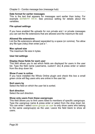#### **Date format for earlier messages**

This is the text that appears for messages sent earlier than today. For example **!D!/!M!/!Y! !H!:!!!.** See previous setting for details about the variables.

#### **File upload settings**

If you have enabled file uploads for non private and / or private messages you can set the file extensions that are allowed and the maximum file size

#### **Allowed file extensions**

List the file extensions allowed separated by a space (or comma). Too allow any file type (risky) then enter just  $a^*$ .

#### **Max upload size**

The maximum file size in bytes.

#### **User list settings**

#### **Display these fields for each user**

This field allows you to set which fields are displayed for users in the user list. Type the field name (username, custom1 etc) & press enter or select from the drop down list.

#### **Show if user is online**

If you have installed the Whois Online plugin and check this box a small green circle will flag users who are online in the user list.

#### **Sort users by**

Select the field on which the user list is sorted.

#### **Sort direction**

Select the sort direction.

#### **Show only users from these usergroups**

This field allows you to limit users listed to members of specific usergroups. Type the usergroup name & press enter or select from the drop down list. You can enter / select same groups as user to only show users who belong to the same usergroup(s) as the user. Leave the field blank to show all users.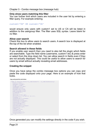#### **Only show users matching this filter**

You can further limit which users are included in the user list by entering a filter query. For example entering

custom1='US' OR custom1='CA'

would ensure only users with custom1 set to US or CA will be listed in addition to the usergroup filter. The filter uses SQL syntax. Leave blank for no filter.

#### **Allow user search**

Check this box to allow users to search users. A search box is displayed at the top of the list when enabled.

#### **Search allowed in these fields**

If you enable user search then you need to also tell the plugin which fields are searchable. Type the field name (username, custom1 etc) & press enter or select from the drop down list. You can allow search in fields even if they are not actually displayed. This could be useful to allow users to search for users by email without actually revealing email addresses.

#### **Creating the snippet**

Once you have setup the combo message box options you can copy and paste the code displayed onto your page. Here is an example of how that looks.

Convand paste the code helow

```
<?php if (function_exists('sl_combichatbox')) { sl_combichatbox(array('width'=>'100%'.
   "width"=>"100%",<br>"maxwidth"=>"600px",<br>"height"=>"500px",<br>"sendheight"=>"110px",
   'showimage'=>true,
   showimage'=>true,<br>!messagelinks'=>true,<br>!userlistlinks'=>true
    'publicenabled'=>true.
   publications<br>
'allmsgtype'=>'',<br>'about'=>'',<br>'datetoday'=>'!A! ago',
   'datetoday'=>'!A! ago',<br>'dateearlier'=>'!D!/!M!/!Y! !H!:!I!',<br>'userpage'=>'',
   "displayfelds"=>"nickname",<br>"showonline"=>true,
   "snowoniine"->crue,<br>"usersortby"=>"nickname",
   usersortby -> nickne
   "userlistgroups' => 0'userlistfilter'=>''
   'searchfields' =>'nickname',
   "searchfields"->"hic
   'number' \Rightarrow 50,
   'usernumber'=>50
   "usernumber"=>50,<br>"refresh"=>30,<br>"userlisthtml"=>""
   "recentuserhtml"111.122
```
Once generated you can modify the settings directly in the code if you wish.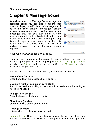# <span id="page-21-0"></span>**Chapter 6 Message boxes**

As well as the Combo Message Box (message hub) described earlier you can also create message boxes to display specific types of messages such as normal (non private) messages, private messages, comment / topic related messages, sent messages etc. For chat type boxes a send message area is automatically included. If you enable file uploads then the user can drag and drop files on the send message area or use the file upload icon  $\mathbb Q$  to choose a file. You can have multiple message boxes on the same page if required.



### <span id="page-21-1"></span>**Adding a message box to a page**

The plugin provides a snippet generator to simplify adding a message box to your page. Open the plugin by going to Plugins - Messaging & Profile and click the Snippets button at the bottom. Click the Message box tab to access the snippet generator.

You will now see a list of options which you can adjust as needed.

#### **Width of box (px or %)**

Enter the width of the message box in px or %.

#### **Maximum width of box (px or leave blank)**

If you have used a % width you can also add a maximum width setting as well in px if needed.

#### **Height of box (px or %)**

Enter the height of the box in px or %.

#### **Show frame (border)**

Check to show a border around the box.

#### **Message box type**

This sets the type of messages displayed.

Non private chat These are normal messages sent by users for other users to read. A send box is also displayed allowing users to send messages too.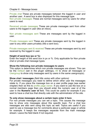#### Chapter 6 - Message boxes

Private chat These are private messages between the logged in user and another user.. A send box is also displayed for this message type. Non private messages These are normal messages sent by users for other users to read.

Received private messages These are private messages sent from other users to the logged in user (like an inbox).

Non private messages sent These are messages sent by the logged in user.

Private messages sent These are private messages sent by the logged in user to any other users privately (like a sent box).

Private messages sent & received These are private messages sent by and received by the logged in user.

#### **Height of send box (px or %)**

Enter the height of the send box in px or %. Only applicable for Non private chat or private chat message types.

#### **Show the following non private messages to users**

This option is determines which non private messages are shown. This can be the Default (set in the plugin settings), All to show all messages or Usergroup to show only messages sent by users in the same usergroup(s).

#### **Show chat / messages** *(field title varies with other options)*

For private messages you need to define which other user the messages relate to. If you place the message box on a user profile page (see earlier chapter) then se this to profile page owner. If you want to use the box on a normal members page then you should enter the numeric user id of the user in the **Numeric user id** field. This could be useful for example if you want to have a chat box that directly cats with the administrator of the site.

#### **To only show messages about a certain topic enter it here**

For non private messages you can set a topic. This causes the message box to show only messages about this specific topic. For a chat box messages are also sent using this topic as well. Topics are useful if you want to use a message box for comments about a particular page or article for example. It keeps the messages separate from the main message stream. Leave the field blank if not required.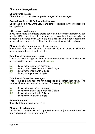#### **Show profile images**

Check this box to include user profile images in the messages.

#### **Create links from URL's & email addresses**

Check this box if you want URL's and emails detected in the messages to be hyperlinked.

#### **URL to user profile page**

If you have setup a members profile page (see the earlier chapter) you can set the URL here. If set then a small user icon  $\blacksquare$  will appear when a message is hovered over. When clicked it will link to the page adding the senders id and hash to the URL so that the correct users data is shown.

#### **Show uploaded image preview in messages**

If checked then any uploaded images will show a preview within the message as well as a download link.

#### **Date format for messages today**

This is the text that appears for messages sent today. The variables below can be used in the text. For example !A! ago

- $\frac{|A|}{|B|}$  displays the age of the message<br> $\frac{|B|}{|B|}$  displays the day of the month with
- $\frac{1}{2}$  displays the day of the month with 2 digits<br> $\frac{1}{2}$  displays the month with 2 digits
- displays the month with 2 digits
- !Y! displays the year with 4 digits

#### **Date format for earlier messages**

This is the text that appears for messages sent earlier than today. The variables below can be used in the text. For example !D!/!M!/!Y! !H!:!!!

- $\frac{|\mathsf{A}|}{|\mathsf{D}|}$  displays the age of the message<br> $\frac{|\mathsf{D}|}{|\mathsf{D}|}$  displays the day of the month wit
- $\frac{1}{2}$  displays the day of the month with 2 digits<br> $\frac{1}{2}$  displays the month with 2 digits
- displays the month with 2 digits
- !Y! displays the year with 4 digits

#### **Allow file upload**

If checked the user can upload files.

#### **Allowed file extensions**

List the file extensions allowed separated by a space (or comma). Too allow any file type (risky) then enter just  $a^*$ .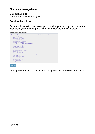Chapter 6 - Message boxes

#### **Max upload size**

The maximum file size in bytes.

#### **Creating the snippet**

Once you have setup the message box option you can copy and paste the code displayed onto your page. Here is an example of how that looks.

Copy and paste the code below



Once generated you can modify the settings directly in the code if you wish.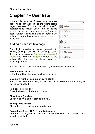# <span id="page-25-0"></span>**Chapter 7 - User lists**

You can display a list of users on a members page which can also link to the users profile page if required. You can set which specific usergroups to include users from or include only those in the same usergroup(s) as the user. Further filtering can also be applied. An optional search box allows users to search users too.

### <span id="page-25-1"></span>**Adding a user list to a page**

The plugin provides a snippet generator to simplify adding a user list to your page. Open the plugin by going to Plugins - Messaging & Profile and click the Snippets button at the bottom. Click the User list tab to access the snippet generator.



You will now see a list of options which you can adjust as needed.

#### **Width of box (px or %)**

Enter the width of the message box in px or %.

#### **Maximum width of box (px or leave blank)**

If you have used a % width you can also add a maximum width setting as well in px if needed.

#### **Height of box (px or %)**

Enter the height of the box in px or %.

#### **Show frame (border)**

Check to show a border around the box.

#### **Show profile images**

Check this box to include user profile images.

#### **Create links from URL's & email addresses**

Check this box if you want URL's and emails detected in the displayed data to be hyperlinked.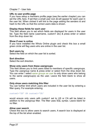#### **URL to user profile page**

If you have setup a members profile page (see the earlier chapter) you can set the URL here. If set then a small user icon  $\triangle$  will appear for each user in the user list. When clicked it will link to the page adding the senders id and hash to the URL so that the correct users data is shown.

#### **Display these fields for each user**

This field allows you to set which fields are displayed for users in the user list. Type the field name (username, custom1 etc) & press enter or select from the drop down list.

#### **Show if user is online**

If you have installed the Whois Online plugin and check this box a small green circle will flag users who are online in the user list.

#### **Sort users by**

Select the field on which the user list is sorted.

#### **Sort direction**

Select the sort direction.

#### **Show only users from these usergroups**

This field allows you to limit users listed to members of specific usergroups. Type the usergroup name & press enter or select from the drop down list. You can enter / select same groups as user to only show users who belong to the same usergroup(s) as the user. Leave the field blank to show all users.

#### **Only show users matching this filter**

You can further limit which users are included in the user list by entering a filter query. For example entering

custom1='US' OR custom1='CA'

would ensure only users with custom1 set to US or CA will be listed in addition to the usergroup filter. The filter uses SQL syntax. Leave blank for no filter.

#### **Allow user search**

Check this box to allow users to search users. A search box is displayed at the top of the list when enabled.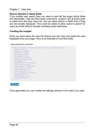#### **Search allowed in these fields**

If you enable user search then you need to also tell the plugin which fields are searchable. Type the field name (username, custom1 etc) & press enter or select from the drop down list. You can allow search in fields even if they are not actually displayed. This could be useful to allow users to search for users by email without actually revealing email addresses.

#### **Creating the snippet**

Once you have setup the user list options you can copy and paste the code displayed onto your page. Here is an example of how that looks.

Copy and paste the code below



Select code

Once generated you can modify the settings directly in the code if you wish.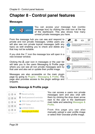# <span id="page-28-0"></span>**Chapter 8 - Control panel features**

### <span id="page-28-1"></span>**Messages**



You can access your message hub (combo message box) by clicking the chat icon at the top of the dashboard. This also shows how many unread private messages you have.

From the message hub you can see and respond to private and non private messages. Unlike users you will also see non private topical messages (with any topic) as well enabling you to check and delete any that may not be suitable.

If you click the  $\Box$  icon the message box will open in a new browser window.

Clicking the  $\blacksquare$  user icon in messages or the user list will take you to the users Messaging & Profile page where you can see all non private messages sent by that user and also set or update their profile image.

Messages are also accessible on the main plugin page by going to Plugins - Messaging & Profile. This page also provides access to the plugin settings and snippets.



# <span id="page-28-2"></span>**Users Message & Profile page**

区网关 Recent activity 矗 Send password reminder 区区米 ightharpoonup View and upload user files 区区米 OTP Token 区区米 Linklok Orders CEX Messaging & Profile

You can access a users non private messages sent and also chat with them by clicking the drop down arrow next to the user in the dashboard main table and selecting Messages & Profile.

From this page you can also manually upload a user profile image or select their Gravatar profile image.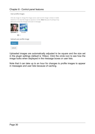#### User profile images

Click the image to change the image source used (current image is shown in bold). Click  $\Box$  or  $\bigcirc$  to view the images as squares or circles. Note: Because of caching it may take up to an hour for changes to be seen in messages.



Upload user profile image

Uploaded images are automatically adjusted to be square and the size set in the plugin settings (default is 150px). Click the circle icon to see how the image looks when displayed in the message boxes or user lists.

Note that it can take up to an hour for changes to profile images to appear in messages and user lists because of caching.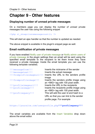# <span id="page-30-0"></span>**Chapter 9 - Other features**

## <span id="page-30-1"></span>**Displaying number of unread private messages**

On a members page you can display the number of unread private messages the user has using the following snippet

<? php sl showprivatemessagecount(); ?>

This will start an ajax handler so that the number is updated as needed.

The above snippet is available in the plugin's snippet page as well.

### <span id="page-30-2"></span>**Email notification of private messages**

If you have enabled Notify user of private message or Notify admin users of private message in the plugin settings then an email will be sent using the specified email template to the recipient to let them know they have received a private message. Inside the email template you can use the following template variables.

| !!! messagefrom!!!        | Inserts the nickname of the sender         |
|---------------------------|--------------------------------------------|
| !!! messagetext!!!        | Inserts the actual message                 |
| !!!fromprofileimageurl!!! | Inserts the URL to the senders profile     |
|                           | image                                      |
| !!!fromprofileimage!!!    | Inserts the senders profile image using    |
|                           | an <img/> tag with 100 pixel width.        |
| !!!profileimageurl!!!     | Inserts the URL to the recipients          |
| !!!profileimage!!!        | Inserts the recipients profile image using |
|                           | an <img/> tag with 100 pixel width.        |
| !!!profilequery!!!        | This will add the user id and hash to a    |
|                           | URL so that you can link to the sender     |
|                           | profile page. For example                  |

https://yoursite.com/userprofile.php**!!!profilequery!!!**

The email variables are available from the Insert Variables drop down above the email editor.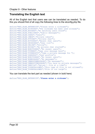# <span id="page-31-0"></span>**Translating the English text**

All of the English text that users see can be translated as needed. To do this you should first of all copy the following lines to the slconfig.php file.

```
define("MSG_BLAB_ENTERNICK", "Please enter a nickname");
define("MSG_BLAB_NICKUSED","The nickname has been used already"); 
define("MSG_BLAB_NOUSERS","No matching users found");
define("MSG_BLAB_PUBLICMSG","Public messages");
define("MSG_BLAB_USERS","Users");
define("MSG_BLAB_INBOX","Private inbox");
define("MSG_BLAB_PVTCHAT", "Private chat");
define("MSG_BLAB_RCTUSERS", "Recent chat users");
define("MSG_BLAB_SRCHUSERS","User list");
define("MSG_BLAB_ONLINE","Online"); 
define("MSG_BLAB_NOCHAT","No private chat started"); 
define("MSG_BLAB_NORCTUSERS", "No recent users");
define("MSG_BLAB_TYPEMSG", "Type your message here");
define("MSG_BLAB_TYPEMSGPVT", "Type a private message for ");
define("MSG_BLAB_USERPROF","User profile"); 
define("MSG<sup>_</sup>BLAB_NORCTUSERS","No recent users");
define("MSG_BLAB_NOMESSAGES","No messages");
define("MSG_BLAB_CMBNOPUBMESSAGES", "No messages");
define("MSG_BLAB_CMBNOPVTMESSAGES", "You have no private messages");
define("MSG_BLAB_ONEFILE", "Upload 1 file at a time");
define("MSG_BLAB_TYPENTALLOWED","This type of file is not allowed"); 
define("MSG_BLAB_TYPENTALLOWED", "File is too large");
```
You can translate the text part as needed (shown in bold here)

define("MSG\_BLAB\_ENTERNICK","**Please enter a nickname**");